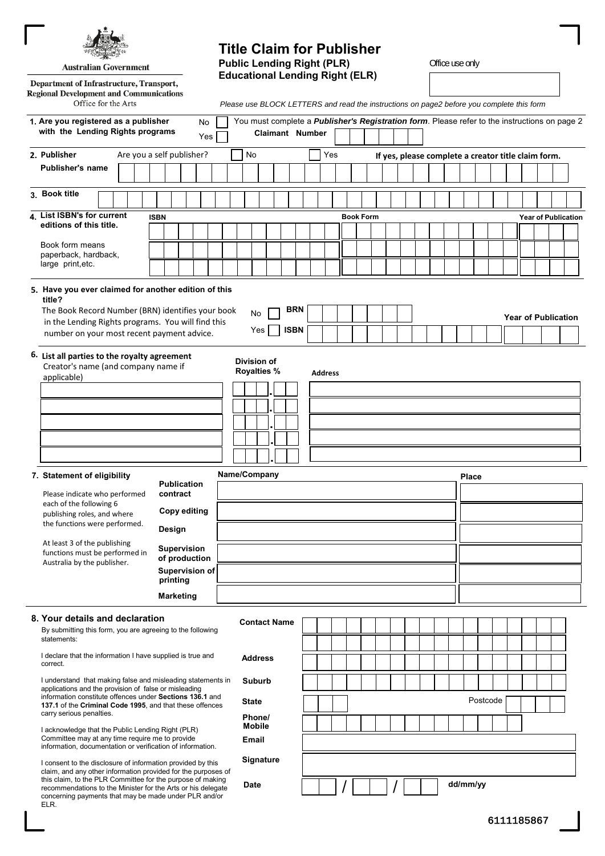**Australian Government** 

#### Department of Infrastructure, Transport, **Regional Development and Communications** Office for the Arts

# **Title Claim for Publisher Public Lending Right (PLR)** Office use only **Educational Lending Right (ELR)**

*Please use BLOCK LETTERS and read the instructions on page2 before you complete this form* 

| 1. Are you registered as a publisher<br>with the Lending Rights programs                                                                                                                                                                                                                                                    |                                                                   | You must complete a <i>Publisher's Registration form</i> . Please refer to the instructions on page 2 | <b>Claimant Number</b>           |            |             |                |     |                  |  |  |  |  |  |  |              |  |          |  |                                                     |                            |                            |  |  |  |
|-----------------------------------------------------------------------------------------------------------------------------------------------------------------------------------------------------------------------------------------------------------------------------------------------------------------------------|-------------------------------------------------------------------|-------------------------------------------------------------------------------------------------------|----------------------------------|------------|-------------|----------------|-----|------------------|--|--|--|--|--|--|--------------|--|----------|--|-----------------------------------------------------|----------------------------|----------------------------|--|--|--|
|                                                                                                                                                                                                                                                                                                                             | Yes                                                               |                                                                                                       |                                  |            |             |                |     |                  |  |  |  |  |  |  |              |  |          |  |                                                     |                            |                            |  |  |  |
| 2. Publisher<br>Publisher's name                                                                                                                                                                                                                                                                                            | Are you a self publisher?                                         |                                                                                                       | No                               |            |             |                | Yes |                  |  |  |  |  |  |  |              |  |          |  | If yes, please complete a creator title claim form. |                            |                            |  |  |  |
|                                                                                                                                                                                                                                                                                                                             |                                                                   |                                                                                                       |                                  |            |             |                |     |                  |  |  |  |  |  |  |              |  |          |  |                                                     |                            |                            |  |  |  |
| 3. Book title                                                                                                                                                                                                                                                                                                               |                                                                   |                                                                                                       |                                  |            |             |                |     |                  |  |  |  |  |  |  |              |  |          |  |                                                     |                            |                            |  |  |  |
| 4. List ISBN's for current                                                                                                                                                                                                                                                                                                  | <b>ISBN</b>                                                       |                                                                                                       |                                  |            |             |                |     | <b>Book Form</b> |  |  |  |  |  |  |              |  |          |  |                                                     |                            | <b>Year of Publication</b> |  |  |  |
| editions of this title.                                                                                                                                                                                                                                                                                                     |                                                                   |                                                                                                       |                                  |            |             |                |     |                  |  |  |  |  |  |  |              |  |          |  |                                                     |                            |                            |  |  |  |
| Book form means                                                                                                                                                                                                                                                                                                             |                                                                   |                                                                                                       |                                  |            |             |                |     |                  |  |  |  |  |  |  |              |  |          |  |                                                     |                            |                            |  |  |  |
| paperback, hardback,<br>large print, etc.                                                                                                                                                                                                                                                                                   |                                                                   |                                                                                                       |                                  |            |             |                |     |                  |  |  |  |  |  |  |              |  |          |  |                                                     |                            |                            |  |  |  |
| 5. Have you ever claimed for another edition of this<br>title?<br>The Book Record Number (BRN) identifies your book<br>in the Lending Rights programs. You will find this                                                                                                                                                   |                                                                   | No                                                                                                    |                                  | <b>BRN</b> |             |                |     |                  |  |  |  |  |  |  |              |  |          |  |                                                     | <b>Year of Publication</b> |                            |  |  |  |
| number on your most recent payment advice.                                                                                                                                                                                                                                                                                  |                                                                   |                                                                                                       | Yes                              |            | <b>ISBN</b> |                |     |                  |  |  |  |  |  |  |              |  |          |  |                                                     |                            |                            |  |  |  |
| 6. List all parties to the royalty agreement<br>Creator's name (and company name if<br>applicable)                                                                                                                                                                                                                          |                                                                   | Division of<br><b>Royalties %</b>                                                                     |                                  |            |             | <b>Address</b> |     |                  |  |  |  |  |  |  |              |  |          |  |                                                     |                            |                            |  |  |  |
|                                                                                                                                                                                                                                                                                                                             |                                                                   |                                                                                                       |                                  |            |             |                |     |                  |  |  |  |  |  |  |              |  |          |  |                                                     |                            |                            |  |  |  |
| 7. Statement of eligibility                                                                                                                                                                                                                                                                                                 |                                                                   | Name/Company                                                                                          |                                  |            |             |                |     |                  |  |  |  |  |  |  | <b>Place</b> |  |          |  |                                                     |                            |                            |  |  |  |
| Please indicate who performed                                                                                                                                                                                                                                                                                               | <b>Publication</b><br>contract                                    |                                                                                                       |                                  |            |             |                |     |                  |  |  |  |  |  |  |              |  |          |  |                                                     |                            |                            |  |  |  |
| each of the following 6<br>publishing roles, and where                                                                                                                                                                                                                                                                      |                                                                   |                                                                                                       |                                  |            |             |                |     |                  |  |  |  |  |  |  |              |  |          |  |                                                     |                            |                            |  |  |  |
| the functions were performed.                                                                                                                                                                                                                                                                                               |                                                                   |                                                                                                       |                                  |            |             |                |     |                  |  |  |  |  |  |  |              |  |          |  |                                                     |                            |                            |  |  |  |
| At least 3 of the publishing<br>functions must be performed in<br>Australia by the publisher.                                                                                                                                                                                                                               | <b>Supervision</b><br>of production<br>Supervision of<br>printing |                                                                                                       |                                  |            |             |                |     |                  |  |  |  |  |  |  |              |  |          |  |                                                     |                            |                            |  |  |  |
|                                                                                                                                                                                                                                                                                                                             |                                                                   |                                                                                                       |                                  |            |             |                |     |                  |  |  |  |  |  |  |              |  |          |  |                                                     |                            |                            |  |  |  |
| 8. Your details and declaration<br>By submitting this form, you are agreeing to the following<br>statements:                                                                                                                                                                                                                |                                                                   |                                                                                                       | <b>Contact Name</b>              |            |             |                |     |                  |  |  |  |  |  |  |              |  |          |  |                                                     |                            |                            |  |  |  |
| I declare that the information I have supplied is true and<br>correct.                                                                                                                                                                                                                                                      |                                                                   |                                                                                                       | <b>Address</b>                   |            |             |                |     |                  |  |  |  |  |  |  |              |  |          |  |                                                     |                            |                            |  |  |  |
| I understand that making false and misleading statements in<br>applications and the provision of false or misleading<br>information constitute offences under Sections 136.1 and<br>137.1 of the Criminal Code 1995, and that these offences<br>carry serious penalties.                                                    |                                                                   |                                                                                                       | Suburb<br><b>State</b><br>Phone/ |            |             |                |     |                  |  |  |  |  |  |  |              |  | Postcode |  |                                                     |                            |                            |  |  |  |
| I acknowledge that the Public Lending Right (PLR)<br>Committee may at any time require me to provide<br>information, documentation or verification of information.                                                                                                                                                          | <b>Mobile</b><br>Email                                            |                                                                                                       |                                  |            |             |                |     |                  |  |  |  |  |  |  |              |  |          |  |                                                     |                            |                            |  |  |  |
| I consent to the disclosure of information provided by this<br>claim, and any other information provided for the purposes of<br>this claim, to the PLR Committee for the purpose of making<br>recommendations to the Minister for the Arts or his delegate<br>concerning payments that may be made under PLR and/or<br>ELR. |                                                                   | Signature<br><b>Date</b>                                                                              |                                  |            |             |                |     |                  |  |  |  |  |  |  | dd/mm/yy     |  |          |  |                                                     |                            |                            |  |  |  |

ı